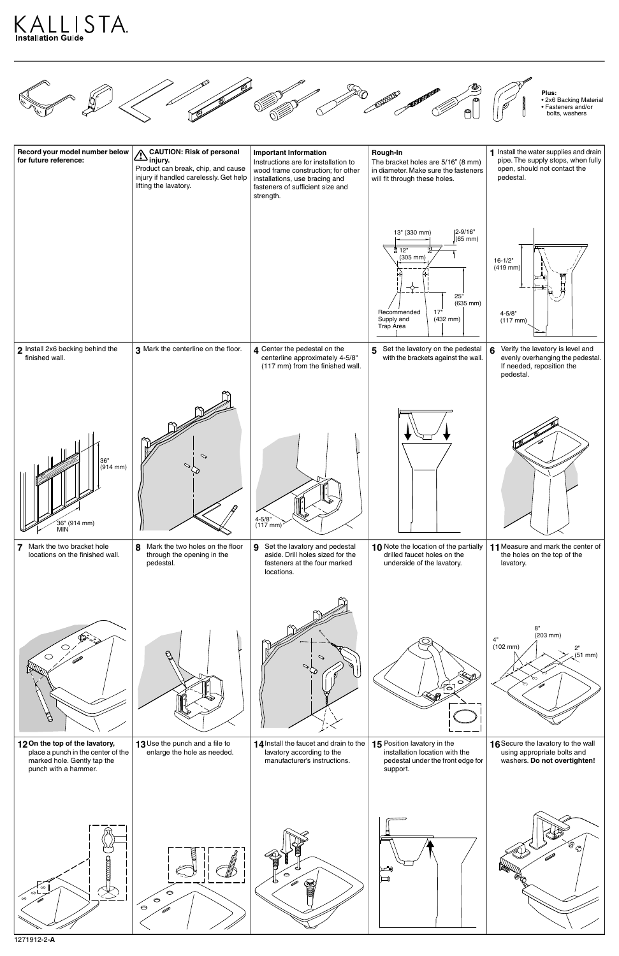



| Record your model number below<br>for future reference:                        | <b>CAUTION: Risk of personal</b><br>$\sum_{i}^{CAU}$ in $U$<br>Product can break, chip, and cause<br>injury if handled carelessly. Get help<br>lifting the lavatory. | <b>Important Information</b><br>Instructions are for installation to<br>wood frame construction; for other<br>installations, use bracing and<br>fasteners of sufficient size and<br>strength. | Rough-In<br>The bracket holes are 5/16" (8 mm)<br>in diameter. Make sure the fasteners<br>will fit through these holes.                                                             | 1 Install the water supplies and drain<br>pipe. The supply stops, when fully<br>open, should not contact the<br>pedestal. |
|--------------------------------------------------------------------------------|----------------------------------------------------------------------------------------------------------------------------------------------------------------------|-----------------------------------------------------------------------------------------------------------------------------------------------------------------------------------------------|-------------------------------------------------------------------------------------------------------------------------------------------------------------------------------------|---------------------------------------------------------------------------------------------------------------------------|
|                                                                                |                                                                                                                                                                      |                                                                                                                                                                                               | $ 2 - 9/16"$<br>13" (330 mm)<br>$(65 \text{ mm})$<br>₩ 12"<br>$(305 \, \text{mm})$<br>25"<br>$(635$ mm $)$<br>Recommended<br>17"<br>Supply and<br>$(432 \, \text{mm})$<br>Trap Area | $16 - 1/2"$<br>$(419$ mm)<br>$4 - 5/8"$<br>$(117 \, \text{mm})$                                                           |
| 2 Install 2x6 backing behind the<br>finished wall.                             | 3 Mark the centerline on the floor.                                                                                                                                  | 4 Center the pedestal on the<br>centerline approximately 4-5/8"<br>(117 mm) from the finished wall.                                                                                           | 5 Set the lavatory on the pedestal<br>with the brackets against the wall.                                                                                                           | 6 Verify the lavatory is level and<br>evenly overhanging the pedestal.<br>If needed, reposition the<br>pedestal.          |
| 36"<br>(914 mm)<br>ິ 36" (914 mm)<br>MIN                                       | $\mathcal{L}$                                                                                                                                                        | $4 - 5/8$ " (117 mm)                                                                                                                                                                          |                                                                                                                                                                                     |                                                                                                                           |
| Mark the two bracket hole<br>$\overline{7}$<br>locations on the finished wall. | 8<br>Mark the two holes on the floor<br>through the opening in the<br>pedestal.                                                                                      | 9 Set the lavatory and pedestal<br>aside. Drill holes sized for the<br>fasteners at the four marked<br>locations.                                                                             | 10 Note the location of the partially<br>drilled faucet holes on the<br>underside of the lavatory.                                                                                  | 11 Measure and mark the center of<br>the holes on the top of the<br>lavatory.                                             |
|                                                                                | $\beta$                                                                                                                                                              | $\scriptstyle\sim$                                                                                                                                                                            | <u>ි</u>                                                                                                                                                                            | 8"<br>$(203 \, \text{mm})$<br>4"<br>$(102 \, \text{mm})$<br>2"<br>(51 mm)                                                 |



1271912-2-**A**